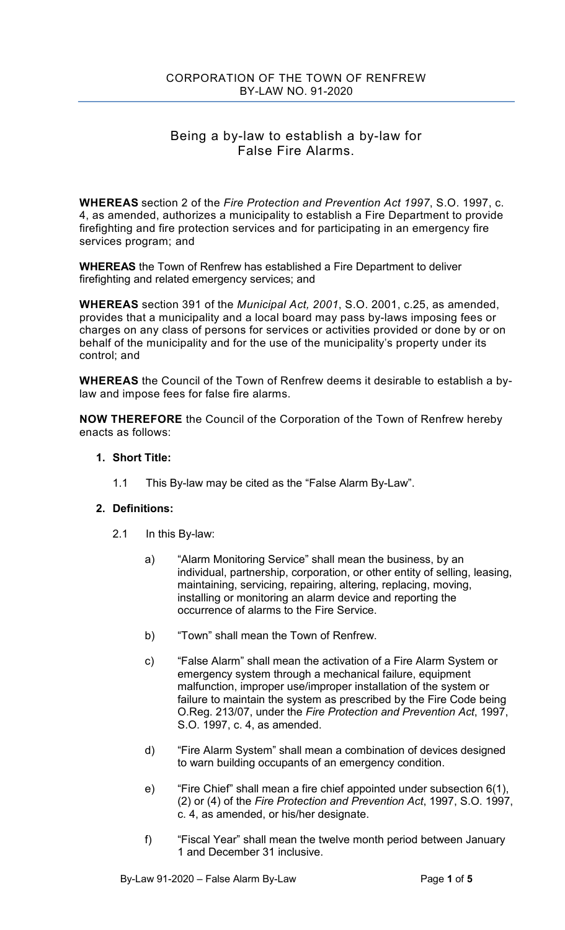# Being a by-law to establish a by-law for False Fire Alarms.

**WHEREAS** section 2 of the *Fire Protection and Prevention Act 1997*, S.O. 1997, c. 4, as amended, authorizes a municipality to establish a Fire Department to provide firefighting and fire protection services and for participating in an emergency fire services program; and

**WHEREAS** the Town of Renfrew has established a Fire Department to deliver firefighting and related emergency services; and

**WHEREAS** section 391 of the *Municipal Act, 2001*, S.O. 2001, c.25, as amended, provides that a municipality and a local board may pass by-laws imposing fees or charges on any class of persons for services or activities provided or done by or on behalf of the municipality and for the use of the municipality's property under its control; and

**WHEREAS** the Council of the Town of Renfrew deems it desirable to establish a bylaw and impose fees for false fire alarms.

**NOW THEREFORE** the Council of the Corporation of the Town of Renfrew hereby enacts as follows:

#### **1. Short Title:**

1.1 This By-law may be cited as the "False Alarm By-Law".

#### **2. Definitions:**

- 2.1 In this By-law:
	- a) "Alarm Monitoring Service" shall mean the business, by an individual, partnership, corporation, or other entity of selling, leasing, maintaining, servicing, repairing, altering, replacing, moving, installing or monitoring an alarm device and reporting the occurrence of alarms to the Fire Service.
	- b) "Town" shall mean the Town of Renfrew.
	- c) "False Alarm" shall mean the activation of a Fire Alarm System or emergency system through a mechanical failure, equipment malfunction, improper use/improper installation of the system or failure to maintain the system as prescribed by the Fire Code being O.Reg. 213/07, under the *Fire Protection and Prevention Act*, 1997, S.O. 1997, c. 4, as amended.
	- d) "Fire Alarm System" shall mean a combination of devices designed to warn building occupants of an emergency condition.
	- e) "Fire Chief" shall mean a fire chief appointed under subsection 6(1), (2) or (4) of the *Fire Protection and Prevention Act*, 1997, S.O. 1997, c. 4, as amended, or his/her designate.
	- f) "Fiscal Year" shall mean the twelve month period between January 1 and December 31 inclusive.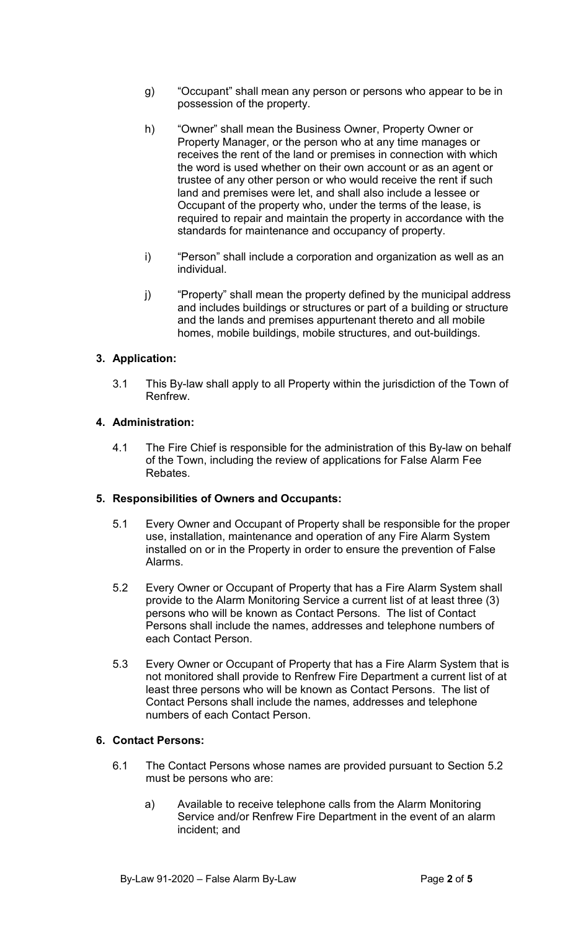- g) "Occupant" shall mean any person or persons who appear to be in possession of the property.
- h) "Owner" shall mean the Business Owner, Property Owner or Property Manager, or the person who at any time manages or receives the rent of the land or premises in connection with which the word is used whether on their own account or as an agent or trustee of any other person or who would receive the rent if such land and premises were let, and shall also include a lessee or Occupant of the property who, under the terms of the lease, is required to repair and maintain the property in accordance with the standards for maintenance and occupancy of property.
- i) "Person" shall include a corporation and organization as well as an individual.
- j) "Property" shall mean the property defined by the municipal address and includes buildings or structures or part of a building or structure and the lands and premises appurtenant thereto and all mobile homes, mobile buildings, mobile structures, and out-buildings.

#### **3. Application:**

3.1 This By-law shall apply to all Property within the jurisdiction of the Town of Renfrew.

#### **4. Administration:**

4.1 The Fire Chief is responsible for the administration of this By-law on behalf of the Town, including the review of applications for False Alarm Fee Rebates.

#### **5. Responsibilities of Owners and Occupants:**

- 5.1 Every Owner and Occupant of Property shall be responsible for the proper use, installation, maintenance and operation of any Fire Alarm System installed on or in the Property in order to ensure the prevention of False Alarms.
- 5.2 Every Owner or Occupant of Property that has a Fire Alarm System shall provide to the Alarm Monitoring Service a current list of at least three (3) persons who will be known as Contact Persons. The list of Contact Persons shall include the names, addresses and telephone numbers of each Contact Person.
- 5.3 Every Owner or Occupant of Property that has a Fire Alarm System that is not monitored shall provide to Renfrew Fire Department a current list of at least three persons who will be known as Contact Persons. The list of Contact Persons shall include the names, addresses and telephone numbers of each Contact Person.

#### **6. Contact Persons:**

- 6.1 The Contact Persons whose names are provided pursuant to Section 5.2 must be persons who are:
	- a) Available to receive telephone calls from the Alarm Monitoring Service and/or Renfrew Fire Department in the event of an alarm incident; and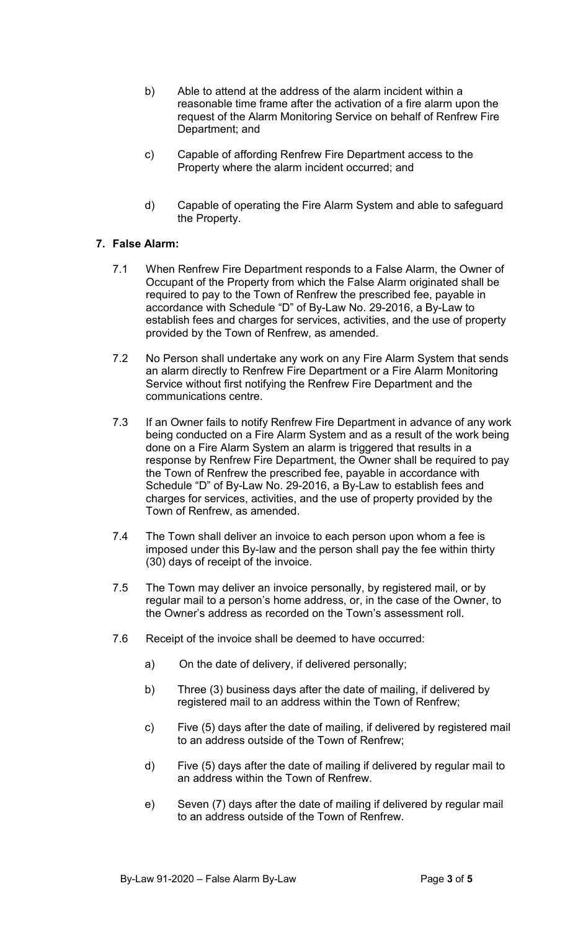- b) Able to attend at the address of the alarm incident within a reasonable time frame after the activation of a fire alarm upon the request of the Alarm Monitoring Service on behalf of Renfrew Fire Department; and
- c) Capable of affording Renfrew Fire Department access to the Property where the alarm incident occurred; and
- d) Capable of operating the Fire Alarm System and able to safeguard the Property.

# **7. False Alarm:**

- 7.1 When Renfrew Fire Department responds to a False Alarm, the Owner of Occupant of the Property from which the False Alarm originated shall be required to pay to the Town of Renfrew the prescribed fee, payable in accordance with Schedule "D" of By-Law No. 29-2016, a By-Law to establish fees and charges for services, activities, and the use of property provided by the Town of Renfrew, as amended.
- 7.2 No Person shall undertake any work on any Fire Alarm System that sends an alarm directly to Renfrew Fire Department or a Fire Alarm Monitoring Service without first notifying the Renfrew Fire Department and the communications centre.
- 7.3 If an Owner fails to notify Renfrew Fire Department in advance of any work being conducted on a Fire Alarm System and as a result of the work being done on a Fire Alarm System an alarm is triggered that results in a response by Renfrew Fire Department, the Owner shall be required to pay the Town of Renfrew the prescribed fee, payable in accordance with Schedule "D" of By-Law No. 29-2016, a By-Law to establish fees and charges for services, activities, and the use of property provided by the Town of Renfrew, as amended.
- 7.4 The Town shall deliver an invoice to each person upon whom a fee is imposed under this By-law and the person shall pay the fee within thirty (30) days of receipt of the invoice.
- 7.5 The Town may deliver an invoice personally, by registered mail, or by regular mail to a person's home address, or, in the case of the Owner, to the Owner's address as recorded on the Town's assessment roll.
- 7.6 Receipt of the invoice shall be deemed to have occurred:
	- a) On the date of delivery, if delivered personally;
	- b) Three (3) business days after the date of mailing, if delivered by registered mail to an address within the Town of Renfrew;
	- c) Five (5) days after the date of mailing, if delivered by registered mail to an address outside of the Town of Renfrew;
	- d) Five (5) days after the date of mailing if delivered by regular mail to an address within the Town of Renfrew.
	- e) Seven (7) days after the date of mailing if delivered by regular mail to an address outside of the Town of Renfrew.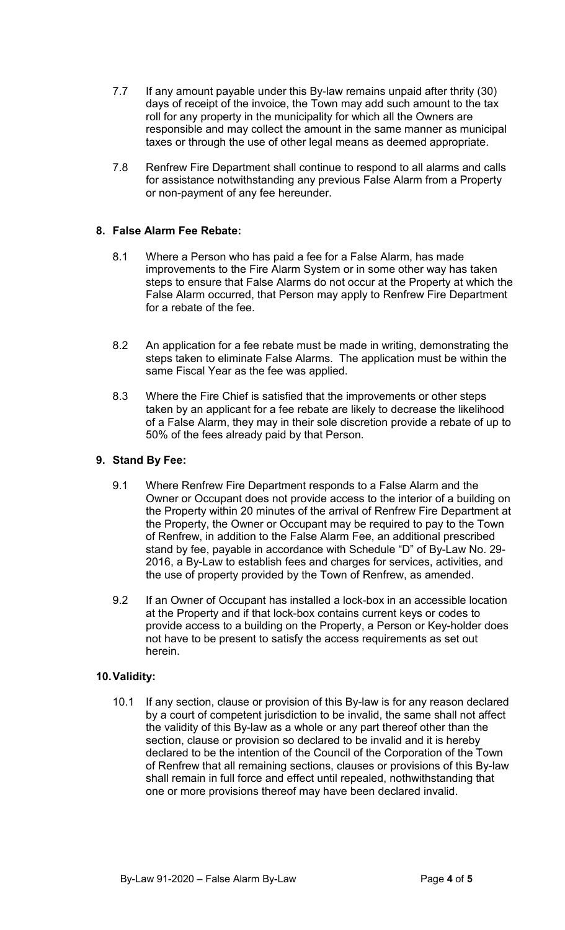- 7.7 If any amount payable under this By-law remains unpaid after thrity (30) days of receipt of the invoice, the Town may add such amount to the tax roll for any property in the municipality for which all the Owners are responsible and may collect the amount in the same manner as municipal taxes or through the use of other legal means as deemed appropriate.
- 7.8 Renfrew Fire Department shall continue to respond to all alarms and calls for assistance notwithstanding any previous False Alarm from a Property or non-payment of any fee hereunder.

# **8. False Alarm Fee Rebate:**

- 8.1 Where a Person who has paid a fee for a False Alarm, has made improvements to the Fire Alarm System or in some other way has taken steps to ensure that False Alarms do not occur at the Property at which the False Alarm occurred, that Person may apply to Renfrew Fire Department for a rebate of the fee.
- 8.2 An application for a fee rebate must be made in writing, demonstrating the steps taken to eliminate False Alarms. The application must be within the same Fiscal Year as the fee was applied.
- 8.3 Where the Fire Chief is satisfied that the improvements or other steps taken by an applicant for a fee rebate are likely to decrease the likelihood of a False Alarm, they may in their sole discretion provide a rebate of up to 50% of the fees already paid by that Person.

# **9. Stand By Fee:**

- 9.1 Where Renfrew Fire Department responds to a False Alarm and the Owner or Occupant does not provide access to the interior of a building on the Property within 20 minutes of the arrival of Renfrew Fire Department at the Property, the Owner or Occupant may be required to pay to the Town of Renfrew, in addition to the False Alarm Fee, an additional prescribed stand by fee, payable in accordance with Schedule "D" of By-Law No. 29- 2016, a By-Law to establish fees and charges for services, activities, and the use of property provided by the Town of Renfrew, as amended.
- 9.2 If an Owner of Occupant has installed a lock-box in an accessible location at the Property and if that lock-box contains current keys or codes to provide access to a building on the Property, a Person or Key-holder does not have to be present to satisfy the access requirements as set out herein.

#### **10.Validity:**

10.1 If any section, clause or provision of this By-law is for any reason declared by a court of competent jurisdiction to be invalid, the same shall not affect the validity of this By-law as a whole or any part thereof other than the section, clause or provision so declared to be invalid and it is hereby declared to be the intention of the Council of the Corporation of the Town of Renfrew that all remaining sections, clauses or provisions of this By-law shall remain in full force and effect until repealed, nothwithstanding that one or more provisions thereof may have been declared invalid.